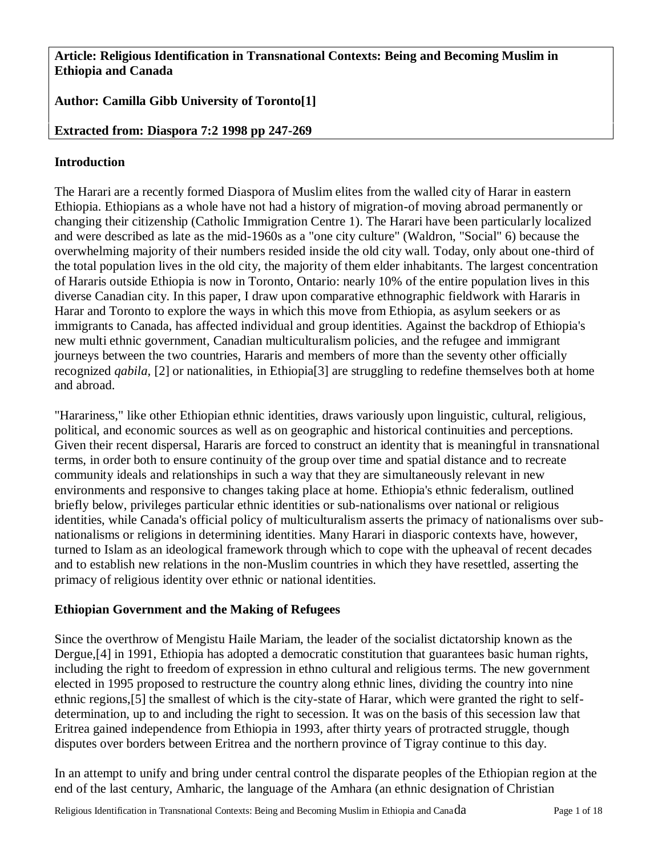**Article: Religious Identification in Transnational Contexts: Being and Becoming Muslim in Ethiopia and Canada** 

**Author: Camilla Gibb University of Toronto[1]** 

## **Extracted from: Diaspora 7:2 1998 pp 247-269**

## **Introduction**

The Harari are a recently formed Diaspora of Muslim elites from the walled city of Harar in eastern Ethiopia. Ethiopians as a whole have not had a history of migration-of moving abroad permanently or changing their citizenship (Catholic Immigration Centre 1). The Harari have been particularly localized and were described as late as the mid-1960s as a "one city culture" (Waldron, "Social" 6) because the overwhelming majority of their numbers resided inside the old city wall. Today, only about one-third of the total population lives in the old city, the majority of them elder inhabitants. The largest concentration of Hararis outside Ethiopia is now in Toronto, Ontario: nearly 10% of the entire population lives in this diverse Canadian city. In this paper, I draw upon comparative ethnographic fieldwork with Hararis in Harar and Toronto to explore the ways in which this move from Ethiopia, as asylum seekers or as immigrants to Canada, has affected individual and group identities. Against the backdrop of Ethiopia's new multi ethnic government, Canadian multiculturalism policies, and the refugee and immigrant journeys between the two countries, Hararis and members of more than the seventy other officially recognized *qabila,* [2] or nationalities, in Ethiopia[3] are struggling to redefine themselves both at home and abroad.

"Harariness," like other Ethiopian ethnic identities, draws variously upon linguistic, cultural, religious, political, and economic sources as well as on geographic and historical continuities and perceptions. Given their recent dispersal, Hararis are forced to construct an identity that is meaningful in transnational terms, in order both to ensure continuity of the group over time and spatial distance and to recreate community ideals and relationships in such a way that they are simultaneously relevant in new environments and responsive to changes taking place at home. Ethiopia's ethnic federalism, outlined briefly below, privileges particular ethnic identities or sub-nationalisms over national or religious identities, while Canada's official policy of multiculturalism asserts the primacy of nationalisms over subnationalisms or religions in determining identities. Many Harari in diasporic contexts have, however, turned to Islam as an ideological framework through which to cope with the upheaval of recent decades and to establish new relations in the non-Muslim countries in which they have resettled, asserting the primacy of religious identity over ethnic or national identities.

## **Ethiopian Government and the Making of Refugees**

Since the overthrow of Mengistu Haile Mariam, the leader of the socialist dictatorship known as the Dergue,[4] in 1991, Ethiopia has adopted a democratic constitution that guarantees basic human rights, including the right to freedom of expression in ethno cultural and religious terms. The new government elected in 1995 proposed to restructure the country along ethnic lines, dividing the country into nine ethnic regions,[5] the smallest of which is the city-state of Harar, which were granted the right to selfdetermination, up to and including the right to secession. It was on the basis of this secession law that Eritrea gained independence from Ethiopia in 1993, after thirty years of protracted struggle, though disputes over borders between Eritrea and the northern province of Tigray continue to this day.

In an attempt to unify and bring under central control the disparate peoples of the Ethiopian region at the end of the last century, Amharic, the language of the Amhara (an ethnic designation of Christian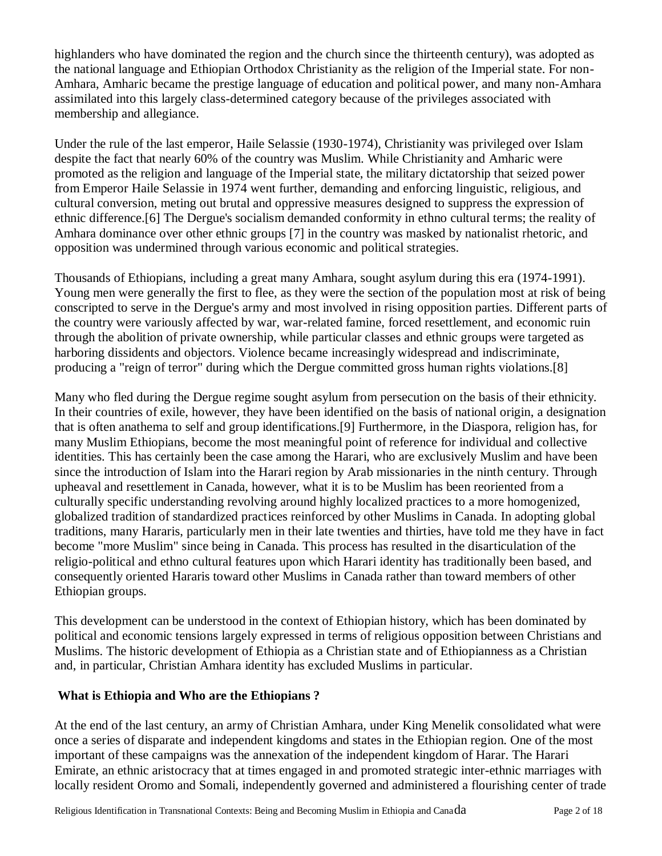highlanders who have dominated the region and the church since the thirteenth century), was adopted as the national language and Ethiopian Orthodox Christianity as the religion of the Imperial state. For non-Amhara, Amharic became the prestige language of education and political power, and many non-Amhara assimilated into this largely class-determined category because of the privileges associated with membership and allegiance.

Under the rule of the last emperor, Haile Selassie (1930-1974), Christianity was privileged over Islam despite the fact that nearly 60% of the country was Muslim. While Christianity and Amharic were promoted as the religion and language of the Imperial state, the military dictatorship that seized power from Emperor Haile Selassie in 1974 went further, demanding and enforcing linguistic, religious, and cultural conversion, meting out brutal and oppressive measures designed to suppress the expression of ethnic difference.[6] The Dergue's socialism demanded conformity in ethno cultural terms; the reality of Amhara dominance over other ethnic groups [7] in the country was masked by nationalist rhetoric, and opposition was undermined through various economic and political strategies.

Thousands of Ethiopians, including a great many Amhara, sought asylum during this era (1974-1991). Young men were generally the first to flee, as they were the section of the population most at risk of being conscripted to serve in the Dergue's army and most involved in rising opposition parties. Different parts of the country were variously affected by war, war-related famine, forced resettlement, and economic ruin through the abolition of private ownership, while particular classes and ethnic groups were targeted as harboring dissidents and objectors. Violence became increasingly widespread and indiscriminate, producing a "reign of terror" during which the Dergue committed gross human rights violations.[8]

Many who fled during the Dergue regime sought asylum from persecution on the basis of their ethnicity. In their countries of exile, however, they have been identified on the basis of national origin, a designation that is often anathema to self and group identifications.[9] Furthermore, in the Diaspora, religion has, for many Muslim Ethiopians, become the most meaningful point of reference for individual and collective identities. This has certainly been the case among the Harari, who are exclusively Muslim and have been since the introduction of Islam into the Harari region by Arab missionaries in the ninth century. Through upheaval and resettlement in Canada, however, what it is to be Muslim has been reoriented from a culturally specific understanding revolving around highly localized practices to a more homogenized, globalized tradition of standardized practices reinforced by other Muslims in Canada. In adopting global traditions, many Hararis, particularly men in their late twenties and thirties, have told me they have in fact become "more Muslim" since being in Canada. This process has resulted in the disarticulation of the religio-political and ethno cultural features upon which Harari identity has traditionally been based, and consequently oriented Hararis toward other Muslims in Canada rather than toward members of other Ethiopian groups.

This development can be understood in the context of Ethiopian history, which has been dominated by political and economic tensions largely expressed in terms of religious opposition between Christians and Muslims. The historic development of Ethiopia as a Christian state and of Ethiopianness as a Christian and, in particular, Christian Amhara identity has excluded Muslims in particular.

## **What is Ethiopia and Who are the Ethiopians ?**

At the end of the last century, an army of Christian Amhara, under King Menelik consolidated what were once a series of disparate and independent kingdoms and states in the Ethiopian region. One of the most important of these campaigns was the annexation of the independent kingdom of Harar. The Harari Emirate, an ethnic aristocracy that at times engaged in and promoted strategic inter-ethnic marriages with locally resident Oromo and Somali, independently governed and administered a flourishing center of trade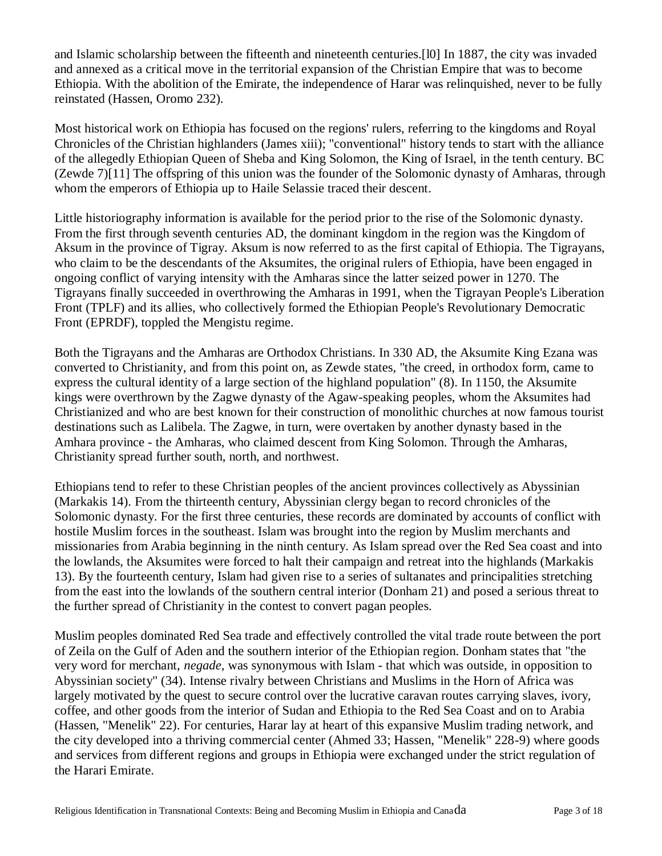and Islamic scholarship between the fifteenth and nineteenth centuries.[l0] In 1887, the city was invaded and annexed as a critical move in the territorial expansion of the Christian Empire that was to become Ethiopia. With the abolition of the Emirate, the independence of Harar was relinquished, never to be fully reinstated (Hassen, Oromo 232).

Most historical work on Ethiopia has focused on the regions' rulers, referring to the kingdoms and Royal Chronicles of the Christian highlanders (James xiii); "conventional" history tends to start with the alliance of the allegedly Ethiopian Queen of Sheba and King Solomon, the King of Israel, in the tenth century. BC (Zewde 7)[11] The offspring of this union was the founder of the Solomonic dynasty of Amharas, through whom the emperors of Ethiopia up to Haile Selassie traced their descent.

Little historiography information is available for the period prior to the rise of the Solomonic dynasty. From the first through seventh centuries AD, the dominant kingdom in the region was the Kingdom of Aksum in the province of Tigray. Aksum is now referred to as the first capital of Ethiopia. The Tigrayans, who claim to be the descendants of the Aksumites, the original rulers of Ethiopia, have been engaged in ongoing conflict of varying intensity with the Amharas since the latter seized power in 1270. The Tigrayans finally succeeded in overthrowing the Amharas in 1991, when the Tigrayan People's Liberation Front (TPLF) and its allies, who collectively formed the Ethiopian People's Revolutionary Democratic Front (EPRDF), toppled the Mengistu regime.

Both the Tigrayans and the Amharas are Orthodox Christians. In 330 AD, the Aksumite King Ezana was converted to Christianity, and from this point on, as Zewde states, "the creed, in orthodox form, came to express the cultural identity of a large section of the highland population" (8). In 1150, the Aksumite kings were overthrown by the Zagwe dynasty of the Agaw-speaking peoples, whom the Aksumites had Christianized and who are best known for their construction of monolithic churches at now famous tourist destinations such as Lalibela. The Zagwe, in turn, were overtaken by another dynasty based in the Amhara province - the Amharas, who claimed descent from King Solomon. Through the Amharas, Christianity spread further south, north, and northwest.

Ethiopians tend to refer to these Christian peoples of the ancient provinces collectively as Abyssinian (Markakis 14). From the thirteenth century, Abyssinian clergy began to record chronicles of the Solomonic dynasty. For the first three centuries, these records are dominated by accounts of conflict with hostile Muslim forces in the southeast. Islam was brought into the region by Muslim merchants and missionaries from Arabia beginning in the ninth century. As Islam spread over the Red Sea coast and into the lowlands, the Aksumites were forced to halt their campaign and retreat into the highlands (Markakis 13). By the fourteenth century, Islam had given rise to a series of sultanates and principalities stretching from the east into the lowlands of the southern central interior (Donham 21) and posed a serious threat to the further spread of Christianity in the contest to convert pagan peoples.

Muslim peoples dominated Red Sea trade and effectively controlled the vital trade route between the port of Zeila on the Gulf of Aden and the southern interior of the Ethiopian region. Donham states that "the very word for merchant, *negade*, was synonymous with Islam - that which was outside, in opposition to Abyssinian society" (34). Intense rivalry between Christians and Muslims in the Horn of Africa was largely motivated by the quest to secure control over the lucrative caravan routes carrying slaves, ivory, coffee, and other goods from the interior of Sudan and Ethiopia to the Red Sea Coast and on to Arabia (Hassen, "Menelik" 22). For centuries, Harar lay at heart of this expansive Muslim trading network, and the city developed into a thriving commercial center (Ahmed 33; Hassen, "Menelik" 228-9) where goods and services from different regions and groups in Ethiopia were exchanged under the strict regulation of the Harari Emirate.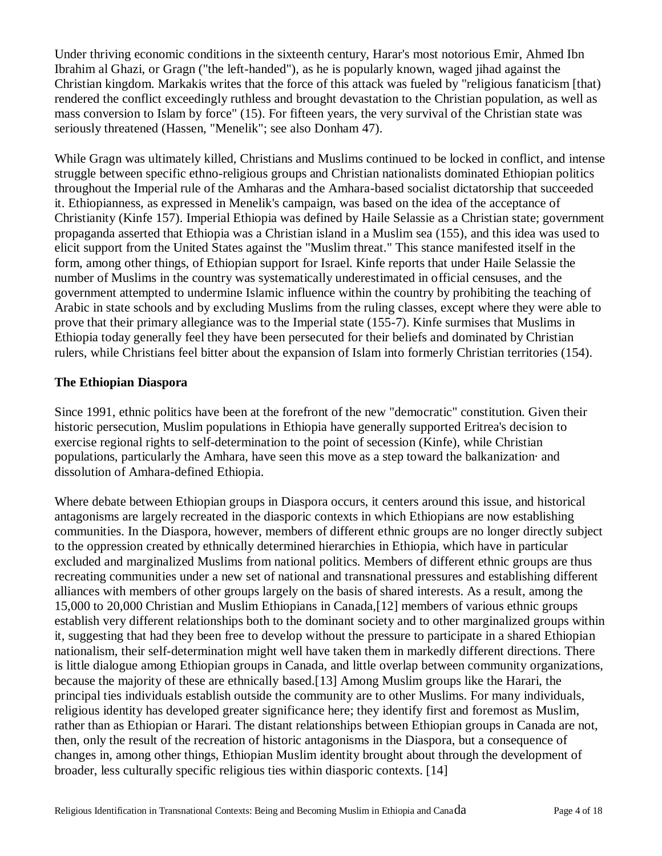Under thriving economic conditions in the sixteenth century, Harar's most notorious Emir, Ahmed Ibn Ibrahim al Ghazi, or Gragn ("the left-handed"), as he is popularly known, waged jihad against the Christian kingdom. Markakis writes that the force of this attack was fueled by "religious fanaticism [that) rendered the conflict exceedingly ruthless and brought devastation to the Christian population, as well as mass conversion to Islam by force" (15). For fifteen years, the very survival of the Christian state was seriously threatened (Hassen, "Menelik"; see also Donham 47).

While Gragn was ultimately killed, Christians and Muslims continued to be locked in conflict, and intense struggle between specific ethno-religious groups and Christian nationalists dominated Ethiopian politics throughout the Imperial rule of the Amharas and the Amhara-based socialist dictatorship that succeeded it. Ethiopianness, as expressed in Menelik's campaign, was based on the idea of the acceptance of Christianity (Kinfe 157). Imperial Ethiopia was defined by Haile Selassie as a Christian state; government propaganda asserted that Ethiopia was a Christian island in a Muslim sea (155), and this idea was used to elicit support from the United States against the "Muslim threat." This stance manifested itself in the form, among other things, of Ethiopian support for Israel. Kinfe reports that under Haile Selassie the number of Muslims in the country was systematically underestimated in official censuses, and the government attempted to undermine Islamic influence within the country by prohibiting the teaching of Arabic in state schools and by excluding Muslims from the ruling classes, except where they were able to prove that their primary allegiance was to the Imperial state (155-7). Kinfe surmises that Muslims in Ethiopia today generally feel they have been persecuted for their beliefs and dominated by Christian rulers, while Christians feel bitter about the expansion of Islam into formerly Christian territories (154).

#### **The Ethiopian Diaspora**

Since 1991, ethnic politics have been at the forefront of the new "democratic" constitution. Given their historic persecution, Muslim populations in Ethiopia have generally supported Eritrea's decision to exercise regional rights to self-determination to the point of secession (Kinfe), while Christian populations, particularly the Amhara, have seen this move as a step toward the balkanization· and dissolution of Amhara-defined Ethiopia.

Where debate between Ethiopian groups in Diaspora occurs, it centers around this issue, and historical antagonisms are largely recreated in the diasporic contexts in which Ethiopians are now establishing communities. In the Diaspora, however, members of different ethnic groups are no longer directly subject to the oppression created by ethnically determined hierarchies in Ethiopia, which have in particular excluded and marginalized Muslims from national politics. Members of different ethnic groups are thus recreating communities under a new set of national and transnational pressures and establishing different alliances with members of other groups largely on the basis of shared interests. As a result, among the 15,000 to 20,000 Christian and Muslim Ethiopians in Canada,[12] members of various ethnic groups establish very different relationships both to the dominant society and to other marginalized groups within it, suggesting that had they been free to develop without the pressure to participate in a shared Ethiopian nationalism, their self-determination might well have taken them in markedly different directions. There is little dialogue among Ethiopian groups in Canada, and little overlap between community organizations, because the majority of these are ethnically based.[13] Among Muslim groups like the Harari, the principal ties individuals establish outside the community are to other Muslims. For many individuals, religious identity has developed greater significance here; they identify first and foremost as Muslim, rather than as Ethiopian or Harari. The distant relationships between Ethiopian groups in Canada are not, then, only the result of the recreation of historic antagonisms in the Diaspora, but a consequence of changes in, among other things, Ethiopian Muslim identity brought about through the development of broader, less culturally specific religious ties within diasporic contexts. [14]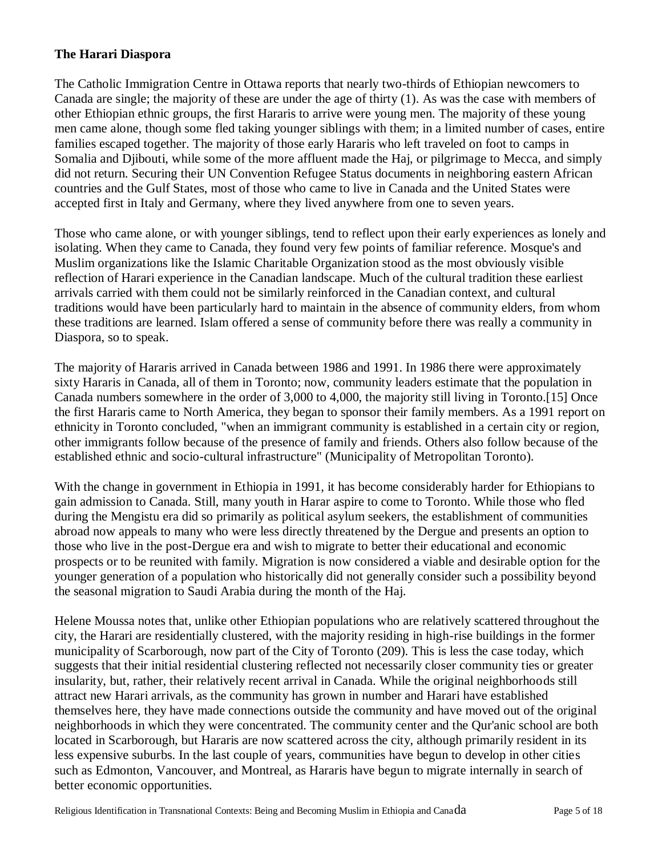#### **The Harari Diaspora**

The Catholic Immigration Centre in Ottawa reports that nearly two-thirds of Ethiopian newcomers to Canada are single; the majority of these are under the age of thirty (1). As was the case with members of other Ethiopian ethnic groups, the first Hararis to arrive were young men. The majority of these young men came alone, though some fled taking younger siblings with them; in a limited number of cases, entire families escaped together. The majority of those early Hararis who left traveled on foot to camps in Somalia and Djibouti, while some of the more affluent made the Haj, or pilgrimage to Mecca, and simply did not return. Securing their UN Convention Refugee Status documents in neighboring eastern African countries and the Gulf States, most of those who came to live in Canada and the United States were accepted first in Italy and Germany, where they lived anywhere from one to seven years.

Those who came alone, or with younger siblings, tend to reflect upon their early experiences as lonely and isolating. When they came to Canada, they found very few points of familiar reference. Mosque's and Muslim organizations like the Islamic Charitable Organization stood as the most obviously visible reflection of Harari experience in the Canadian landscape. Much of the cultural tradition these earliest arrivals carried with them could not be similarly reinforced in the Canadian context, and cultural traditions would have been particularly hard to maintain in the absence of community elders, from whom these traditions are learned. Islam offered a sense of community before there was really a community in Diaspora, so to speak.

The majority of Hararis arrived in Canada between 1986 and 1991. In 1986 there were approximately sixty Hararis in Canada, all of them in Toronto; now, community leaders estimate that the population in Canada numbers somewhere in the order of 3,000 to 4,000, the majority still living in Toronto.[15] Once the first Hararis came to North America, they began to sponsor their family members. As a 1991 report on ethnicity in Toronto concluded, "when an immigrant community is established in a certain city or region, other immigrants follow because of the presence of family and friends. Others also follow because of the established ethnic and socio-cultural infrastructure" (Municipality of Metropolitan Toronto).

With the change in government in Ethiopia in 1991, it has become considerably harder for Ethiopians to gain admission to Canada. Still, many youth in Harar aspire to come to Toronto. While those who fled during the Mengistu era did so primarily as political asylum seekers, the establishment of communities abroad now appeals to many who were less directly threatened by the Dergue and presents an option to those who live in the post-Dergue era and wish to migrate to better their educational and economic prospects or to be reunited with family. Migration is now considered a viable and desirable option for the younger generation of a population who historically did not generally consider such a possibility beyond the seasonal migration to Saudi Arabia during the month of the Haj.

Helene Moussa notes that, unlike other Ethiopian populations who are relatively scattered throughout the city, the Harari are residentially clustered, with the majority residing in high-rise buildings in the former municipality of Scarborough, now part of the City of Toronto (209). This is less the case today, which suggests that their initial residential clustering reflected not necessarily closer community ties or greater insularity, but, rather, their relatively recent arrival in Canada. While the original neighborhoods still attract new Harari arrivals, as the community has grown in number and Harari have established themselves here, they have made connections outside the community and have moved out of the original neighborhoods in which they were concentrated. The community center and the Qur'anic school are both located in Scarborough, but Hararis are now scattered across the city, although primarily resident in its less expensive suburbs. In the last couple of years, communities have begun to develop in other cities such as Edmonton, Vancouver, and Montreal, as Hararis have begun to migrate internally in search of better economic opportunities.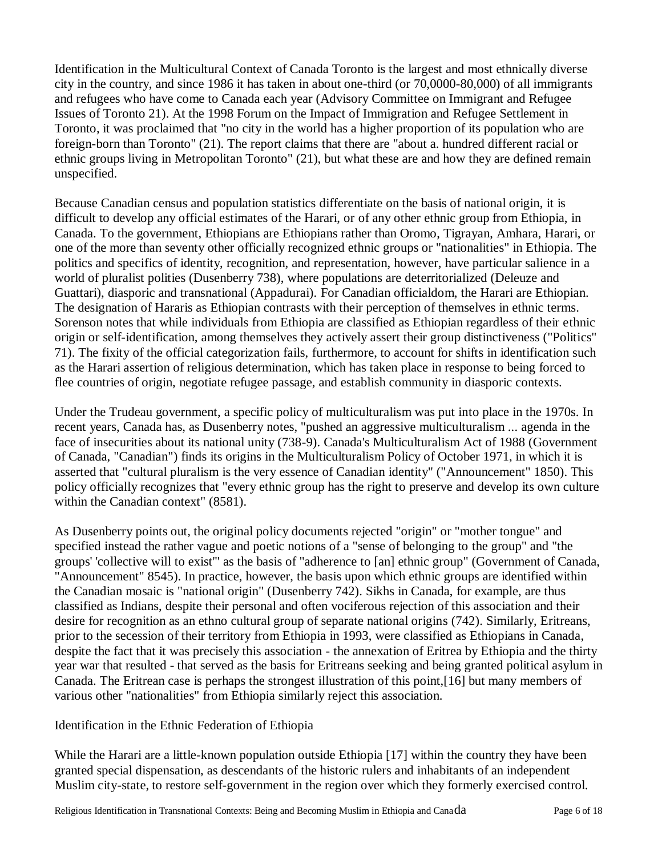Identification in the Multicultural Context of Canada Toronto is the largest and most ethnically diverse city in the country, and since 1986 it has taken in about one-third (or 70,0000-80,000) of all immigrants and refugees who have come to Canada each year (Advisory Committee on Immigrant and Refugee Issues of Toronto 21). At the 1998 Forum on the Impact of Immigration and Refugee Settlement in Toronto, it was proclaimed that "no city in the world has a higher proportion of its population who are foreign-born than Toronto" (21). The report claims that there are "about a. hundred different racial or ethnic groups living in Metropolitan Toronto" (21), but what these are and how they are defined remain unspecified.

Because Canadian census and population statistics differentiate on the basis of national origin, it is difficult to develop any official estimates of the Harari, or of any other ethnic group from Ethiopia, in Canada. To the government, Ethiopians are Ethiopians rather than Oromo, Tigrayan, Amhara, Harari, or one of the more than seventy other officially recognized ethnic groups or "nationalities" in Ethiopia. The politics and specifics of identity, recognition, and representation, however, have particular salience in a world of pluralist polities (Dusenberry 738), where populations are deterritorialized (Deleuze and Guattari), diasporic and transnational (Appadurai). For Canadian officialdom, the Harari are Ethiopian. The designation of Hararis as Ethiopian contrasts with their perception of themselves in ethnic terms. Sorenson notes that while individuals from Ethiopia are classified as Ethiopian regardless of their ethnic origin or self-identification, among themselves they actively assert their group distinctiveness ("Politics" 71). The fixity of the official categorization fails, furthermore, to account for shifts in identification such as the Harari assertion of religious determination, which has taken place in response to being forced to flee countries of origin, negotiate refugee passage, and establish community in diasporic contexts.

Under the Trudeau government, a specific policy of multiculturalism was put into place in the 1970s. In recent years, Canada has, as Dusenberry notes, "pushed an aggressive multiculturalism ... agenda in the face of insecurities about its national unity (738-9). Canada's Multiculturalism Act of 1988 (Government of Canada, "Canadian") finds its origins in the Multiculturalism Policy of October 1971, in which it is asserted that "cultural pluralism is the very essence of Canadian identity" ("Announcement" 1850). This policy officially recognizes that "every ethnic group has the right to preserve and develop its own culture within the Canadian context" (8581).

As Dusenberry points out, the original policy documents rejected "origin" or "mother tongue" and specified instead the rather vague and poetic notions of a "sense of belonging to the group" and "the groups' 'collective will to exist'" as the basis of "adherence to [an] ethnic group" (Government of Canada, "Announcement" 8545). In practice, however, the basis upon which ethnic groups are identified within the Canadian mosaic is "national origin" (Dusenberry 742). Sikhs in Canada, for example, are thus classified as Indians, despite their personal and often vociferous rejection of this association and their desire for recognition as an ethno cultural group of separate national origins (742). Similarly, Eritreans, prior to the secession of their territory from Ethiopia in 1993, were classified as Ethiopians in Canada, despite the fact that it was precisely this association - the annexation of Eritrea by Ethiopia and the thirty year war that resulted - that served as the basis for Eritreans seeking and being granted political asylum in Canada. The Eritrean case is perhaps the strongest illustration of this point,[16] but many members of various other "nationalities" from Ethiopia similarly reject this association.

## Identification in the Ethnic Federation of Ethiopia

While the Harari are a little-known population outside Ethiopia [17] within the country they have been granted special dispensation, as descendants of the historic rulers and inhabitants of an independent Muslim city-state, to restore self-government in the region over which they formerly exercised control.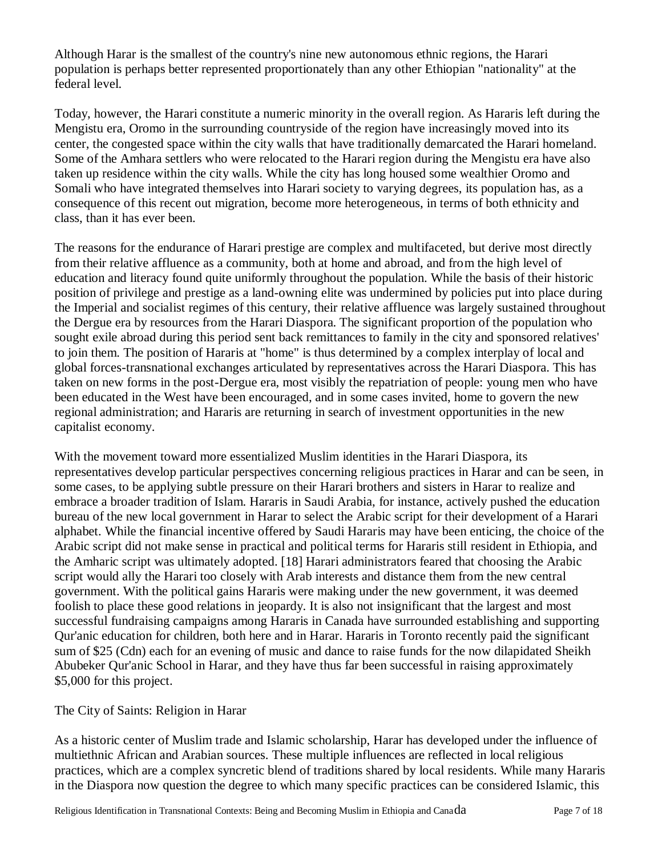Although Harar is the smallest of the country's nine new autonomous ethnic regions, the Harari population is perhaps better represented proportionately than any other Ethiopian "nationality" at the federal level.

Today, however, the Harari constitute a numeric minority in the overall region. As Hararis left during the Mengistu era, Oromo in the surrounding countryside of the region have increasingly moved into its center, the congested space within the city walls that have traditionally demarcated the Harari homeland. Some of the Amhara settlers who were relocated to the Harari region during the Mengistu era have also taken up residence within the city walls. While the city has long housed some wealthier Oromo and Somali who have integrated themselves into Harari society to varying degrees, its population has, as a consequence of this recent out migration, become more heterogeneous, in terms of both ethnicity and class, than it has ever been.

The reasons for the endurance of Harari prestige are complex and multifaceted, but derive most directly from their relative affluence as a community, both at home and abroad, and from the high level of education and literacy found quite uniformly throughout the population. While the basis of their historic position of privilege and prestige as a land-owning elite was undermined by policies put into place during the Imperial and socialist regimes of this century, their relative affluence was largely sustained throughout the Dergue era by resources from the Harari Diaspora. The significant proportion of the population who sought exile abroad during this period sent back remittances to family in the city and sponsored relatives' to join them. The position of Hararis at "home" is thus determined by a complex interplay of local and global forces-transnational exchanges articulated by representatives across the Harari Diaspora. This has taken on new forms in the post-Dergue era, most visibly the repatriation of people: young men who have been educated in the West have been encouraged, and in some cases invited, home to govern the new regional administration; and Hararis are returning in search of investment opportunities in the new capitalist economy.

With the movement toward more essentialized Muslim identities in the Harari Diaspora, its representatives develop particular perspectives concerning religious practices in Harar and can be seen, in some cases, to be applying subtle pressure on their Harari brothers and sisters in Harar to realize and embrace a broader tradition of Islam. Hararis in Saudi Arabia, for instance, actively pushed the education bureau of the new local government in Harar to select the Arabic script for their development of a Harari alphabet. While the financial incentive offered by Saudi Hararis may have been enticing, the choice of the Arabic script did not make sense in practical and political terms for Hararis still resident in Ethiopia, and the Amharic script was ultimately adopted. [18] Harari administrators feared that choosing the Arabic script would ally the Harari too closely with Arab interests and distance them from the new central government. With the political gains Hararis were making under the new government, it was deemed foolish to place these good relations in jeopardy. It is also not insignificant that the largest and most successful fundraising campaigns among Hararis in Canada have surrounded establishing and supporting Qur'anic education for children, both here and in Harar. Hararis in Toronto recently paid the significant sum of \$25 (Cdn) each for an evening of music and dance to raise funds for the now dilapidated Sheikh Abubeker Qur'anic School in Harar, and they have thus far been successful in raising approximately \$5,000 for this project.

## The City of Saints: Religion in Harar

As a historic center of Muslim trade and Islamic scholarship, Harar has developed under the influence of multiethnic African and Arabian sources. These multiple influences are reflected in local religious practices, which are a complex syncretic blend of traditions shared by local residents. While many Hararis in the Diaspora now question the degree to which many specific practices can be considered Islamic, this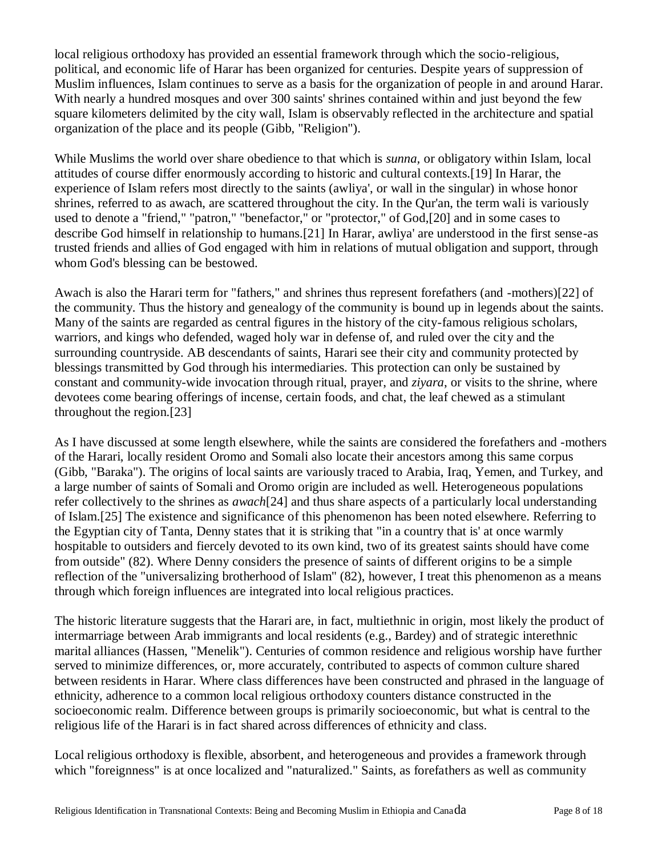local religious orthodoxy has provided an essential framework through which the socio-religious, political, and economic life of Harar has been organized for centuries. Despite years of suppression of Muslim influences, Islam continues to serve as a basis for the organization of people in and around Harar. With nearly a hundred mosques and over 300 saints' shrines contained within and just beyond the few square kilometers delimited by the city wall, Islam is observably reflected in the architecture and spatial organization of the place and its people (Gibb, "Religion").

While Muslims the world over share obedience to that which is *sunna,* or obligatory within Islam, local attitudes of course differ enormously according to historic and cultural contexts.[19] In Harar, the experience of Islam refers most directly to the saints (awliya', or wall in the singular) in whose honor shrines, referred to as awach, are scattered throughout the city. In the Qur'an, the term wali is variously used to denote a "friend," "patron," "benefactor," or "protector," of God,[20] and in some cases to describe God himself in relationship to humans.[21] In Harar, awliya' are understood in the first sense-as trusted friends and allies of God engaged with him in relations of mutual obligation and support, through whom God's blessing can be bestowed.

Awach is also the Harari term for "fathers," and shrines thus represent forefathers (and -mothers)[22] of the community. Thus the history and genealogy of the community is bound up in legends about the saints. Many of the saints are regarded as central figures in the history of the city-famous religious scholars, warriors, and kings who defended, waged holy war in defense of, and ruled over the city and the surrounding countryside. AB descendants of saints, Harari see their city and community protected by blessings transmitted by God through his intermediaries. This protection can only be sustained by constant and community-wide invocation through ritual, prayer, and *ziyara*, or visits to the shrine, where devotees come bearing offerings of incense, certain foods, and chat, the leaf chewed as a stimulant throughout the region.[23]

As I have discussed at some length elsewhere, while the saints are considered the forefathers and -mothers of the Harari, locally resident Oromo and Somali also locate their ancestors among this same corpus (Gibb, "Baraka"). The origins of local saints are variously traced to Arabia, Iraq, Yemen, and Turkey, and a large number of saints of Somali and Oromo origin are included as well. Heterogeneous populations refer collectively to the shrines as *awach*[24] and thus share aspects of a particularly local understanding of Islam.[25] The existence and significance of this phenomenon has been noted elsewhere. Referring to the Egyptian city of Tanta, Denny states that it is striking that "in a country that is' at once warmly hospitable to outsiders and fiercely devoted to its own kind, two of its greatest saints should have come from outside" (82). Where Denny considers the presence of saints of different origins to be a simple reflection of the "universalizing brotherhood of Islam" (82), however, I treat this phenomenon as a means through which foreign influences are integrated into local religious practices.

The historic literature suggests that the Harari are, in fact, multiethnic in origin, most likely the product of intermarriage between Arab immigrants and local residents (e.g., Bardey) and of strategic interethnic marital alliances (Hassen, "Menelik"). Centuries of common residence and religious worship have further served to minimize differences, or, more accurately, contributed to aspects of common culture shared between residents in Harar. Where class differences have been constructed and phrased in the language of ethnicity, adherence to a common local religious orthodoxy counters distance constructed in the socioeconomic realm. Difference between groups is primarily socioeconomic, but what is central to the religious life of the Harari is in fact shared across differences of ethnicity and class.

Local religious orthodoxy is flexible, absorbent, and heterogeneous and provides a framework through which "foreignness" is at once localized and "naturalized." Saints, as forefathers as well as community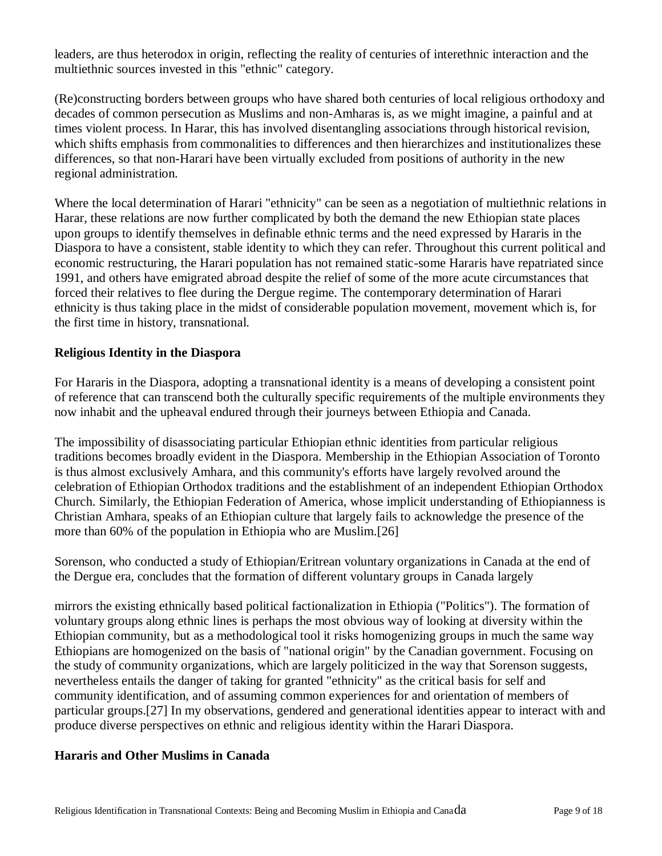leaders, are thus heterodox in origin, reflecting the reality of centuries of interethnic interaction and the multiethnic sources invested in this "ethnic" category.

(Re)constructing borders between groups who have shared both centuries of local religious orthodoxy and decades of common persecution as Muslims and non-Amharas is, as we might imagine, a painful and at times violent process. In Harar, this has involved disentangling associations through historical revision, which shifts emphasis from commonalities to differences and then hierarchizes and institutionalizes these differences, so that non-Harari have been virtually excluded from positions of authority in the new regional administration.

Where the local determination of Harari "ethnicity" can be seen as a negotiation of multiethnic relations in Harar, these relations are now further complicated by both the demand the new Ethiopian state places upon groups to identify themselves in definable ethnic terms and the need expressed by Hararis in the Diaspora to have a consistent, stable identity to which they can refer. Throughout this current political and economic restructuring, the Harari population has not remained static-some Hararis have repatriated since 1991, and others have emigrated abroad despite the relief of some of the more acute circumstances that forced their relatives to flee during the Dergue regime. The contemporary determination of Harari ethnicity is thus taking place in the midst of considerable population movement, movement which is, for the first time in history, transnational.

#### **Religious Identity in the Diaspora**

For Hararis in the Diaspora, adopting a transnational identity is a means of developing a consistent point of reference that can transcend both the culturally specific requirements of the multiple environments they now inhabit and the upheaval endured through their journeys between Ethiopia and Canada.

The impossibility of disassociating particular Ethiopian ethnic identities from particular religious traditions becomes broadly evident in the Diaspora. Membership in the Ethiopian Association of Toronto is thus almost exclusively Amhara, and this community's efforts have largely revolved around the celebration of Ethiopian Orthodox traditions and the establishment of an independent Ethiopian Orthodox Church. Similarly, the Ethiopian Federation of America, whose implicit understanding of Ethiopianness is Christian Amhara, speaks of an Ethiopian culture that largely fails to acknowledge the presence of the more than 60% of the population in Ethiopia who are Muslim.[26]

Sorenson, who conducted a study of Ethiopian/Eritrean voluntary organizations in Canada at the end of the Dergue era, concludes that the formation of different voluntary groups in Canada largely

mirrors the existing ethnically based political factionalization in Ethiopia ("Politics"). The formation of voluntary groups along ethnic lines is perhaps the most obvious way of looking at diversity within the Ethiopian community, but as a methodological tool it risks homogenizing groups in much the same way Ethiopians are homogenized on the basis of "national origin" by the Canadian government. Focusing on the study of community organizations, which are largely politicized in the way that Sorenson suggests, nevertheless entails the danger of taking for granted "ethnicity" as the critical basis for self and community identification, and of assuming common experiences for and orientation of members of particular groups.[27] In my observations, gendered and generational identities appear to interact with and produce diverse perspectives on ethnic and religious identity within the Harari Diaspora.

#### **Hararis and Other Muslims in Canada**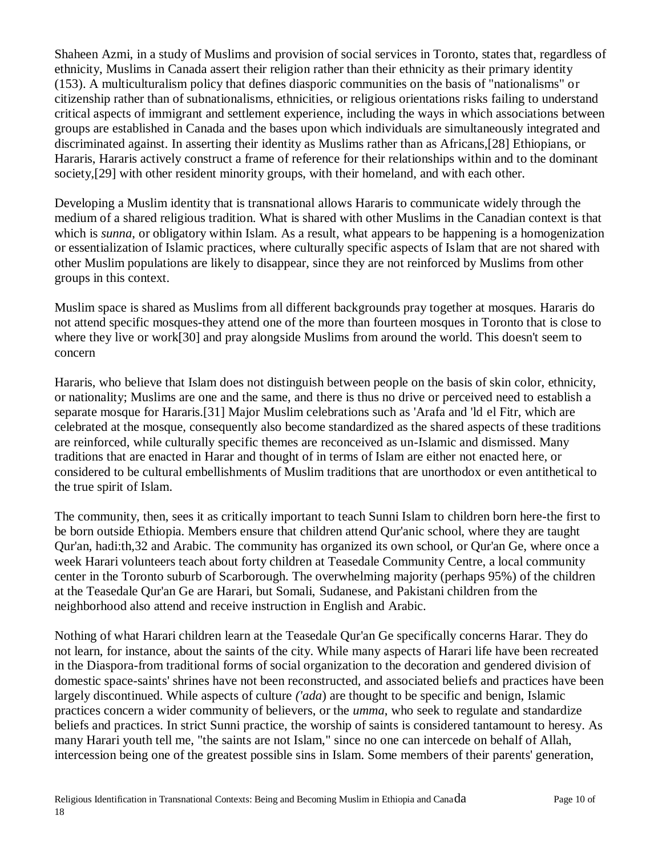Shaheen Azmi, in a study of Muslims and provision of social services in Toronto, states that, regardless of ethnicity, Muslims in Canada assert their religion rather than their ethnicity as their primary identity (153). A multiculturalism policy that defines diasporic communities on the basis of "nationalisms" or citizenship rather than of subnationalisms, ethnicities, or religious orientations risks failing to understand critical aspects of immigrant and settlement experience, including the ways in which associations between groups are established in Canada and the bases upon which individuals are simultaneously integrated and discriminated against. In asserting their identity as Muslims rather than as Africans,[28] Ethiopians, or Hararis, Hararis actively construct a frame of reference for their relationships within and to the dominant society,[29] with other resident minority groups, with their homeland, and with each other.

Developing a Muslim identity that is transnational allows Hararis to communicate widely through the medium of a shared religious tradition. What is shared with other Muslims in the Canadian context is that which is *sunna*, or obligatory within Islam. As a result, what appears to be happening is a homogenization or essentialization of Islamic practices, where culturally specific aspects of Islam that are not shared with other Muslim populations are likely to disappear, since they are not reinforced by Muslims from other groups in this context.

Muslim space is shared as Muslims from all different backgrounds pray together at mosques. Hararis do not attend specific mosques-they attend one of the more than fourteen mosques in Toronto that is close to where they live or work[30] and pray alongside Muslims from around the world. This doesn't seem to concern

Hararis, who believe that Islam does not distinguish between people on the basis of skin color, ethnicity, or nationality; Muslims are one and the same, and there is thus no drive or perceived need to establish a separate mosque for Hararis.[31] Major Muslim celebrations such as 'Arafa and 'ld el Fitr, which are celebrated at the mosque, consequently also become standardized as the shared aspects of these traditions are reinforced, while culturally specific themes are reconceived as un-Islamic and dismissed. Many traditions that are enacted in Harar and thought of in terms of Islam are either not enacted here, or considered to be cultural embellishments of Muslim traditions that are unorthodox or even antithetical to the true spirit of Islam.

The community, then, sees it as critically important to teach Sunni Islam to children born here-the first to be born outside Ethiopia. Members ensure that children attend Qur'anic school, where they are taught Qur'an, hadi:th,32 and Arabic. The community has organized its own school, or Qur'an Ge, where once a week Harari volunteers teach about forty children at Teasedale Community Centre, a local community center in the Toronto suburb of Scarborough. The overwhelming majority (perhaps 95%) of the children at the Teasedale Qur'an Ge are Harari, but Somali, Sudanese, and Pakistani children from the neighborhood also attend and receive instruction in English and Arabic.

Nothing of what Harari children learn at the Teasedale Qur'an Ge specifically concerns Harar. They do not learn, for instance, about the saints of the city. While many aspects of Harari life have been recreated in the Diaspora-from traditional forms of social organization to the decoration and gendered division of domestic space-saints' shrines have not been reconstructed, and associated beliefs and practices have been largely discontinued. While aspects of culture *('ada*) are thought to be specific and benign, Islamic practices concern a wider community of believers, or the *umma*, who seek to regulate and standardize beliefs and practices. In strict Sunni practice, the worship of saints is considered tantamount to heresy. As many Harari youth tell me, "the saints are not Islam," since no one can intercede on behalf of Allah, intercession being one of the greatest possible sins in Islam. Some members of their parents' generation,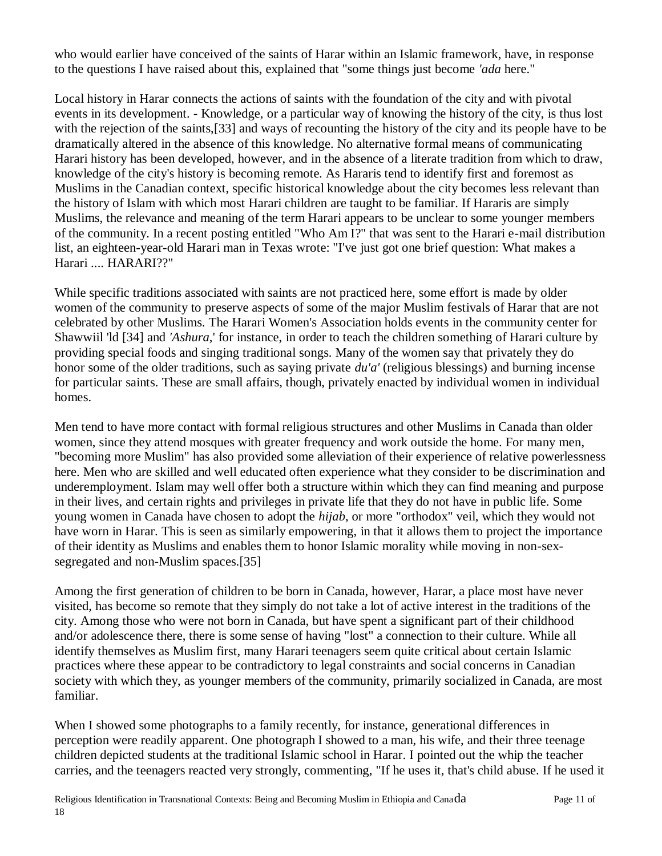who would earlier have conceived of the saints of Harar within an Islamic framework, have, in response to the questions I have raised about this, explained that "some things just become *'ada* here."

Local history in Harar connects the actions of saints with the foundation of the city and with pivotal events in its development. - Knowledge, or a particular way of knowing the history of the city, is thus lost with the rejection of the saints,[33] and ways of recounting the history of the city and its people have to be dramatically altered in the absence of this knowledge. No alternative formal means of communicating Harari history has been developed, however, and in the absence of a literate tradition from which to draw, knowledge of the city's history is becoming remote. As Hararis tend to identify first and foremost as Muslims in the Canadian context, specific historical knowledge about the city becomes less relevant than the history of Islam with which most Harari children are taught to be familiar. If Hararis are simply Muslims, the relevance and meaning of the term Harari appears to be unclear to some younger members of the community. In a recent posting entitled "Who Am I?" that was sent to the Harari e-mail distribution list, an eighteen-year-old Harari man in Texas wrote: "I've just got one brief question: What makes a Harari .... HARARI??"

While specific traditions associated with saints are not practiced here, some effort is made by older women of the community to preserve aspects of some of the major Muslim festivals of Harar that are not celebrated by other Muslims. The Harari Women's Association holds events in the community center for Shawwiil 'ld [34] and *'Ashura,*' for instance, in order to teach the children something of Harari culture by providing special foods and singing traditional songs. Many of the women say that privately they do honor some of the older traditions, such as saying private *du'a'* (religious blessings) and burning incense for particular saints. These are small affairs, though, privately enacted by individual women in individual homes.

Men tend to have more contact with formal religious structures and other Muslims in Canada than older women, since they attend mosques with greater frequency and work outside the home. For many men, "becoming more Muslim" has also provided some alleviation of their experience of relative powerlessness here. Men who are skilled and well educated often experience what they consider to be discrimination and underemployment. Islam may well offer both a structure within which they can find meaning and purpose in their lives, and certain rights and privileges in private life that they do not have in public life. Some young women in Canada have chosen to adopt the *hijab*, or more "orthodox" veil, which they would not have worn in Harar. This is seen as similarly empowering, in that it allows them to project the importance of their identity as Muslims and enables them to honor Islamic morality while moving in non-sexsegregated and non-Muslim spaces.[35]

Among the first generation of children to be born in Canada, however, Harar, a place most have never visited, has become so remote that they simply do not take a lot of active interest in the traditions of the city. Among those who were not born in Canada, but have spent a significant part of their childhood and/or adolescence there, there is some sense of having "lost" a connection to their culture. While all identify themselves as Muslim first, many Harari teenagers seem quite critical about certain Islamic practices where these appear to be contradictory to legal constraints and social concerns in Canadian society with which they, as younger members of the community, primarily socialized in Canada, are most familiar.

When I showed some photographs to a family recently, for instance, generational differences in perception were readily apparent. One photograph I showed to a man, his wife, and their three teenage children depicted students at the traditional Islamic school in Harar. I pointed out the whip the teacher carries, and the teenagers reacted very strongly, commenting, "If he uses it, that's child abuse. If he used it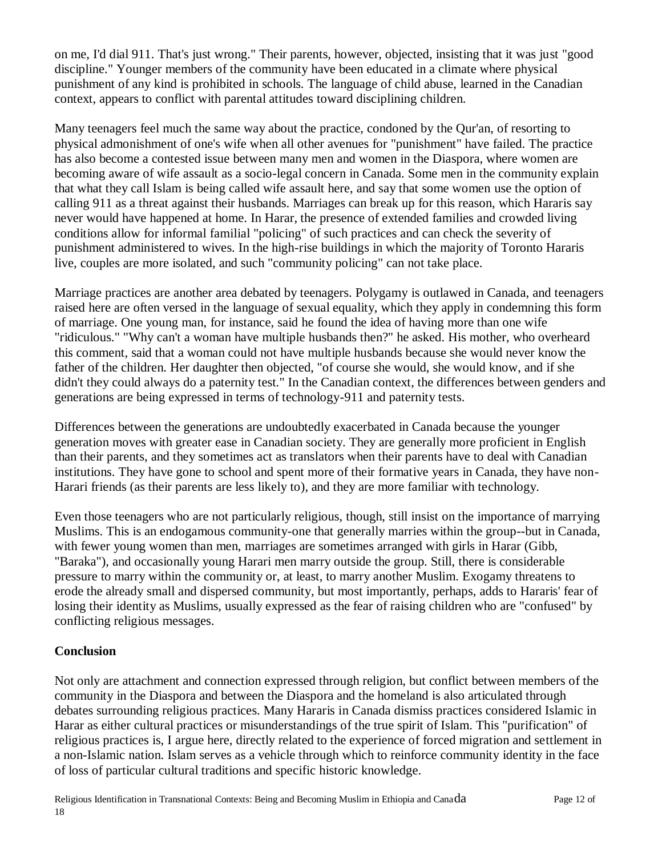on me, I'd dial 911. That's just wrong." Their parents, however, objected, insisting that it was just "good discipline." Younger members of the community have been educated in a climate where physical punishment of any kind is prohibited in schools. The language of child abuse, learned in the Canadian context, appears to conflict with parental attitudes toward disciplining children.

Many teenagers feel much the same way about the practice, condoned by the Qur'an, of resorting to physical admonishment of one's wife when all other avenues for "punishment" have failed. The practice has also become a contested issue between many men and women in the Diaspora, where women are becoming aware of wife assault as a socio-legal concern in Canada. Some men in the community explain that what they call Islam is being called wife assault here, and say that some women use the option of calling 911 as a threat against their husbands. Marriages can break up for this reason, which Hararis say never would have happened at home. In Harar, the presence of extended families and crowded living conditions allow for informal familial "policing" of such practices and can check the severity of punishment administered to wives. In the high-rise buildings in which the majority of Toronto Hararis live, couples are more isolated, and such "community policing" can not take place.

Marriage practices are another area debated by teenagers. Polygamy is outlawed in Canada, and teenagers raised here are often versed in the language of sexual equality, which they apply in condemning this form of marriage. One young man, for instance, said he found the idea of having more than one wife "ridiculous." "Why can't a woman have multiple husbands then?" he asked. His mother, who overheard this comment, said that a woman could not have multiple husbands because she would never know the father of the children. Her daughter then objected, "of course she would, she would know, and if she didn't they could always do a paternity test." In the Canadian context, the differences between genders and generations are being expressed in terms of technology-911 and paternity tests.

Differences between the generations are undoubtedly exacerbated in Canada because the younger generation moves with greater ease in Canadian society. They are generally more proficient in English than their parents, and they sometimes act as translators when their parents have to deal with Canadian institutions. They have gone to school and spent more of their formative years in Canada, they have non-Harari friends (as their parents are less likely to), and they are more familiar with technology.

Even those teenagers who are not particularly religious, though, still insist on the importance of marrying Muslims. This is an endogamous community-one that generally marries within the group--but in Canada, with fewer young women than men, marriages are sometimes arranged with girls in Harar (Gibb, "Baraka"), and occasionally young Harari men marry outside the group. Still, there is considerable pressure to marry within the community or, at least, to marry another Muslim. Exogamy threatens to erode the already small and dispersed community, but most importantly, perhaps, adds to Hararis' fear of losing their identity as Muslims, usually expressed as the fear of raising children who are "confused" by conflicting religious messages.

## **Conclusion**

Not only are attachment and connection expressed through religion, but conflict between members of the community in the Diaspora and between the Diaspora and the homeland is also articulated through debates surrounding religious practices. Many Hararis in Canada dismiss practices considered Islamic in Harar as either cultural practices or misunderstandings of the true spirit of Islam. This "purification" of religious practices is, I argue here, directly related to the experience of forced migration and settlement in a non-Islamic nation. Islam serves as a vehicle through which to reinforce community identity in the face of loss of particular cultural traditions and specific historic knowledge.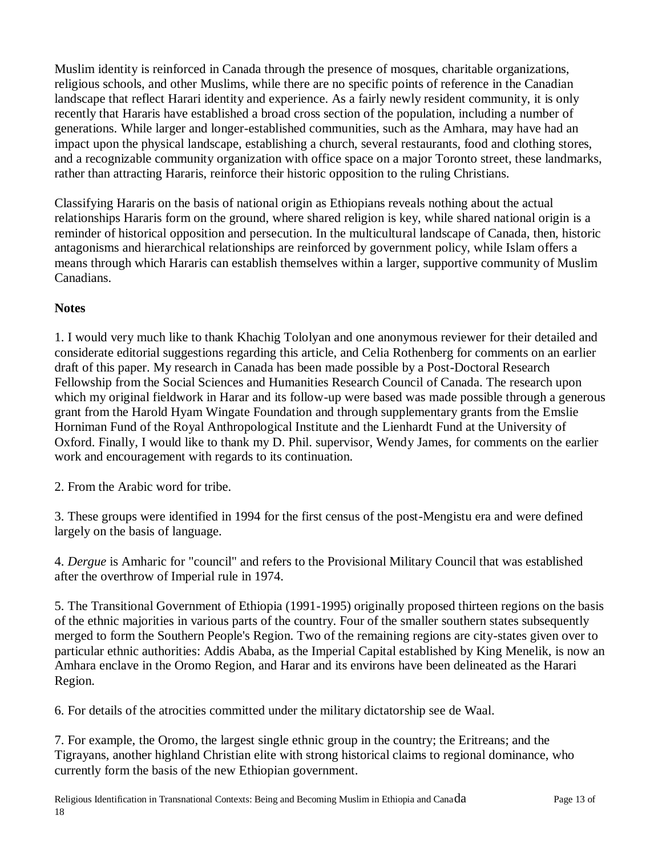Muslim identity is reinforced in Canada through the presence of mosques, charitable organizations, religious schools, and other Muslims, while there are no specific points of reference in the Canadian landscape that reflect Harari identity and experience. As a fairly newly resident community, it is only recently that Hararis have established a broad cross section of the population, including a number of generations. While larger and longer-established communities, such as the Amhara, may have had an impact upon the physical landscape, establishing a church, several restaurants, food and clothing stores, and a recognizable community organization with office space on a major Toronto street, these landmarks, rather than attracting Hararis, reinforce their historic opposition to the ruling Christians.

Classifying Hararis on the basis of national origin as Ethiopians reveals nothing about the actual relationships Hararis form on the ground, where shared religion is key, while shared national origin is a reminder of historical opposition and persecution. In the multicultural landscape of Canada, then, historic antagonisms and hierarchical relationships are reinforced by government policy, while Islam offers a means through which Hararis can establish themselves within a larger, supportive community of Muslim Canadians.

# **Notes**

1. I would very much like to thank Khachig Tololyan and one anonymous reviewer for their detailed and considerate editorial suggestions regarding this article, and Celia Rothenberg for comments on an earlier draft of this paper. My research in Canada has been made possible by a Post-Doctoral Research Fellowship from the Social Sciences and Humanities Research Council of Canada. The research upon which my original fieldwork in Harar and its follow-up were based was made possible through a generous grant from the Harold Hyam Wingate Foundation and through supplementary grants from the Emslie Horniman Fund of the Royal Anthropological Institute and the Lienhardt Fund at the University of Oxford. Finally, I would like to thank my D. Phil. supervisor, Wendy James, for comments on the earlier work and encouragement with regards to its continuation.

2. From the Arabic word for tribe.

3. These groups were identified in 1994 for the first census of the post-Mengistu era and were defined largely on the basis of language.

4. *Dergue* is Amharic for "council" and refers to the Provisional Military Council that was established after the overthrow of Imperial rule in 1974.

5. The Transitional Government of Ethiopia (1991-1995) originally proposed thirteen regions on the basis of the ethnic majorities in various parts of the country. Four of the smaller southern states subsequently merged to form the Southern People's Region. Two of the remaining regions are city-states given over to particular ethnic authorities: Addis Ababa, as the Imperial Capital established by King Menelik, is now an Amhara enclave in the Oromo Region, and Harar and its environs have been delineated as the Harari Region.

6. For details of the atrocities committed under the military dictatorship see de Waal.

7. For example, the Oromo, the largest single ethnic group in the country; the Eritreans; and the Tigrayans, another highland Christian elite with strong historical claims to regional dominance, who currently form the basis of the new Ethiopian government.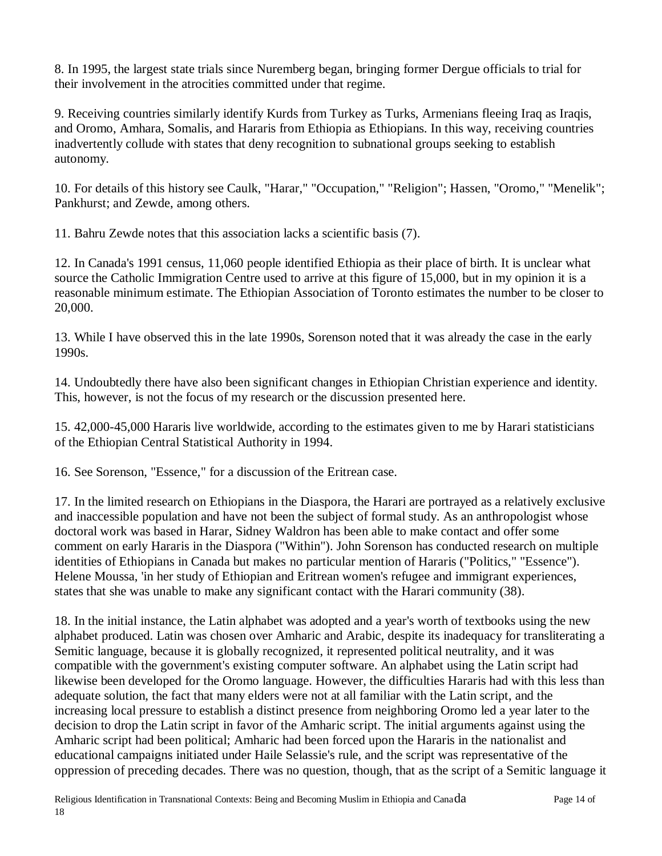8. In 1995, the largest state trials since Nuremberg began, bringing former Dergue officials to trial for their involvement in the atrocities committed under that regime.

9. Receiving countries similarly identify Kurds from Turkey as Turks, Armenians fleeing Iraq as Iraqis, and Oromo, Amhara, Somalis, and Hararis from Ethiopia as Ethiopians. In this way, receiving countries inadvertently collude with states that deny recognition to subnational groups seeking to establish autonomy.

10. For details of this history see Caulk, "Harar," "Occupation," "Religion"; Hassen, "Oromo," "Menelik"; Pankhurst; and Zewde, among others.

11. Bahru Zewde notes that this association lacks a scientific basis (7).

12. In Canada's 1991 census, 11,060 people identified Ethiopia as their place of birth. It is unclear what source the Catholic Immigration Centre used to arrive at this figure of 15,000, but in my opinion it is a reasonable minimum estimate. The Ethiopian Association of Toronto estimates the number to be closer to 20,000.

13. While I have observed this in the late 1990s, Sorenson noted that it was already the case in the early 1990s.

14. Undoubtedly there have also been significant changes in Ethiopian Christian experience and identity. This, however, is not the focus of my research or the discussion presented here.

15. 42,000-45,000 Hararis live worldwide, according to the estimates given to me by Harari statisticians of the Ethiopian Central Statistical Authority in 1994.

16. See Sorenson, "Essence," for a discussion of the Eritrean case.

17. In the limited research on Ethiopians in the Diaspora, the Harari are portrayed as a relatively exclusive and inaccessible population and have not been the subject of formal study. As an anthropologist whose doctoral work was based in Harar, Sidney Waldron has been able to make contact and offer some comment on early Hararis in the Diaspora ("Within"). John Sorenson has conducted research on multiple identities of Ethiopians in Canada but makes no particular mention of Hararis ("Politics," "Essence"). Helene Moussa, 'in her study of Ethiopian and Eritrean women's refugee and immigrant experiences, states that she was unable to make any significant contact with the Harari community (38).

18. In the initial instance, the Latin alphabet was adopted and a year's worth of textbooks using the new alphabet produced. Latin was chosen over Amharic and Arabic, despite its inadequacy for transliterating a Semitic language, because it is globally recognized, it represented political neutrality, and it was compatible with the government's existing computer software. An alphabet using the Latin script had likewise been developed for the Oromo language. However, the difficulties Hararis had with this less than adequate solution, the fact that many elders were not at all familiar with the Latin script, and the increasing local pressure to establish a distinct presence from neighboring Oromo led a year later to the decision to drop the Latin script in favor of the Amharic script. The initial arguments against using the Amharic script had been political; Amharic had been forced upon the Hararis in the nationalist and educational campaigns initiated under Haile Selassie's rule, and the script was representative of the oppression of preceding decades. There was no question, though, that as the script of a Semitic language it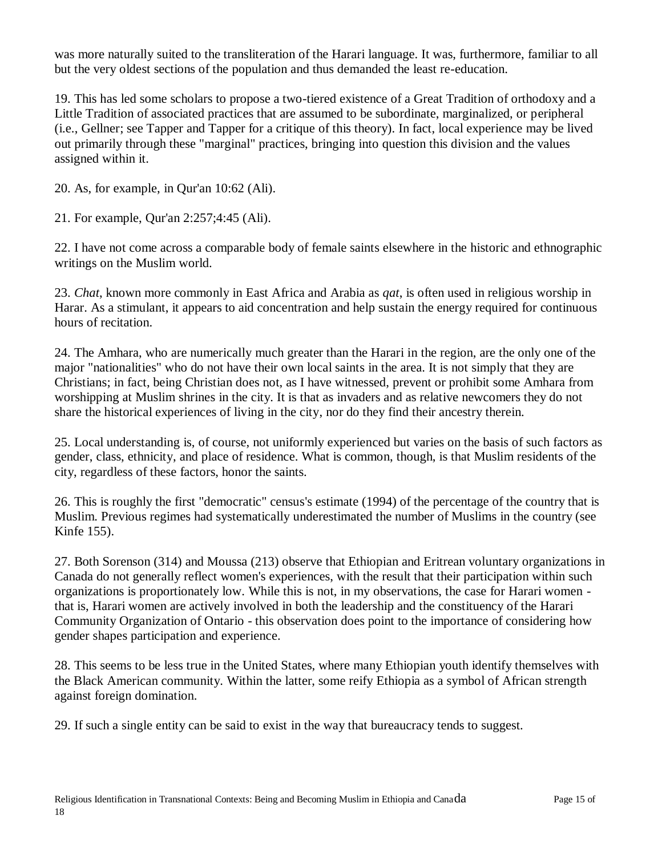was more naturally suited to the transliteration of the Harari language. It was, furthermore, familiar to all but the very oldest sections of the population and thus demanded the least re-education.

19. This has led some scholars to propose a two-tiered existence of a Great Tradition of orthodoxy and a Little Tradition of associated practices that are assumed to be subordinate, marginalized, or peripheral (i.e., Gellner; see Tapper and Tapper for a critique of this theory). In fact, local experience may be lived out primarily through these "marginal" practices, bringing into question this division and the values assigned within it.

20. As, for example, in Qur'an 10:62 (Ali).

21. For example, Qur'an 2:257;4:45 (Ali).

22. I have not come across a comparable body of female saints elsewhere in the historic and ethnographic writings on the Muslim world.

23. *Chat*, known more commonly in East Africa and Arabia as *qat*, is often used in religious worship in Harar. As a stimulant, it appears to aid concentration and help sustain the energy required for continuous hours of recitation.

24. The Amhara, who are numerically much greater than the Harari in the region, are the only one of the major "nationalities" who do not have their own local saints in the area. It is not simply that they are Christians; in fact, being Christian does not, as I have witnessed, prevent or prohibit some Amhara from worshipping at Muslim shrines in the city. It is that as invaders and as relative newcomers they do not share the historical experiences of living in the city, nor do they find their ancestry therein.

25. Local understanding is, of course, not uniformly experienced but varies on the basis of such factors as gender, class, ethnicity, and place of residence. What is common, though, is that Muslim residents of the city, regardless of these factors, honor the saints.

26. This is roughly the first "democratic" census's estimate (1994) of the percentage of the country that is Muslim. Previous regimes had systematically underestimated the number of Muslims in the country (see Kinfe 155).

27. Both Sorenson (314) and Moussa (213) observe that Ethiopian and Eritrean voluntary organizations in Canada do not generally reflect women's experiences, with the result that their participation within such organizations is proportionately low. While this is not, in my observations, the case for Harari women that is, Harari women are actively involved in both the leadership and the constituency of the Harari Community Organization of Ontario - this observation does point to the importance of considering how gender shapes participation and experience.

28. This seems to be less true in the United States, where many Ethiopian youth identify themselves with the Black American community. Within the latter, some reify Ethiopia as a symbol of African strength against foreign domination.

29. If such a single entity can be said to exist in the way that bureaucracy tends to suggest.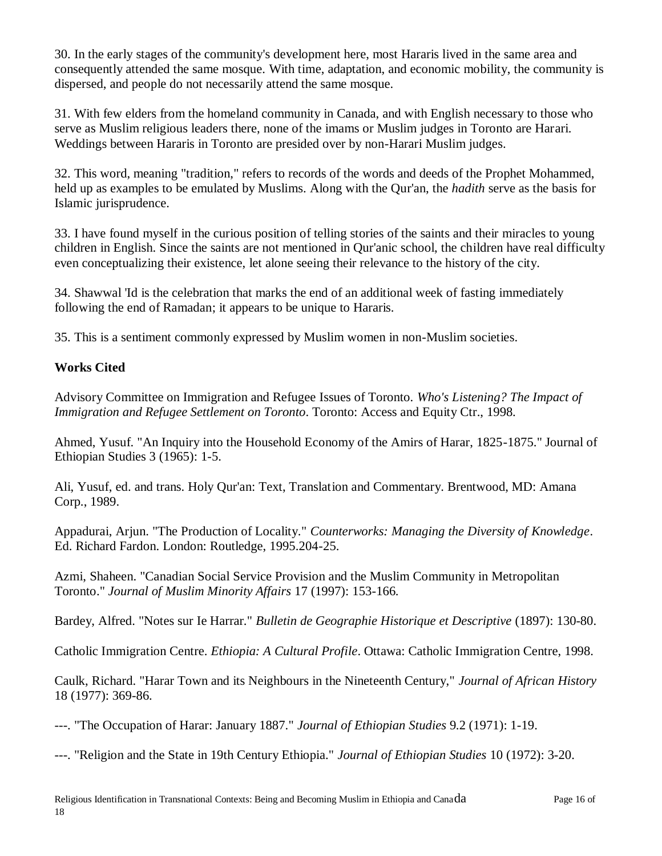30. In the early stages of the community's development here, most Hararis lived in the same area and consequently attended the same mosque. With time, adaptation, and economic mobility, the community is dispersed, and people do not necessarily attend the same mosque.

31. With few elders from the homeland community in Canada, and with English necessary to those who serve as Muslim religious leaders there, none of the imams or Muslim judges in Toronto are Harari. Weddings between Hararis in Toronto are presided over by non-Harari Muslim judges.

32. This word, meaning "tradition," refers to records of the words and deeds of the Prophet Mohammed, held up as examples to be emulated by Muslims. Along with the Qur'an, the *hadith* serve as the basis for Islamic jurisprudence.

33. I have found myself in the curious position of telling stories of the saints and their miracles to young children in English. Since the saints are not mentioned in Qur'anic school, the children have real difficulty even conceptualizing their existence, let alone seeing their relevance to the history of the city.

34. Shawwal 'Id is the celebration that marks the end of an additional week of fasting immediately following the end of Ramadan; it appears to be unique to Hararis.

35. This is a sentiment commonly expressed by Muslim women in non-Muslim societies.

# **Works Cited**

Advisory Committee on Immigration and Refugee Issues of Toronto. *Who's Listening? The Impact of Immigration and Refugee Settlement on Toronto*. Toronto: Access and Equity Ctr., 1998.

Ahmed, Yusuf. "An Inquiry into the Household Economy of the Amirs of Harar, 1825-1875." Journal of Ethiopian Studies 3 (1965): 1-5.

Ali, Yusuf, ed. and trans. Holy Qur'an: Text, Translation and Commentary. Brentwood, MD: Amana Corp., 1989.

Appadurai, Arjun. "The Production of Locality." *Counterworks: Managing the Diversity of Knowledge*. Ed. Richard Fardon. London: Routledge, 1995.204-25.

Azmi, Shaheen. "Canadian Social Service Provision and the Muslim Community in Metropolitan Toronto." *Journal of Muslim Minority Affairs* 17 (1997): 153-166.

Bardey, Alfred. "Notes sur Ie Harrar." *Bulletin de Geographie Historique et Descriptive* (1897): 130-80.

Catholic Immigration Centre. *Ethiopia: A Cultural Profile*. Ottawa: Catholic Immigration Centre, 1998.

Caulk, Richard. "Harar Town and its Neighbours in the Nineteenth Century," *Journal of African History* 18 (1977): 369-86.

---. "The Occupation of Harar: January 1887." *Journal of Ethiopian Studies* 9.2 (1971): 1-19.

---. "Religion and the State in 19th Century Ethiopia." *Journal of Ethiopian Studies* 10 (1972): 3-20.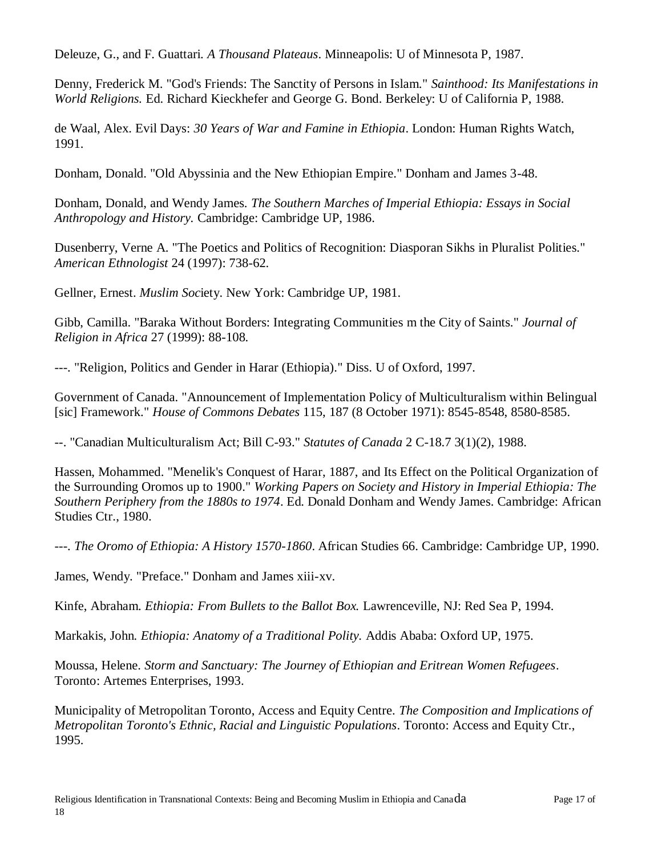Deleuze, G., and F. Guattari. *A Thousand Plateaus*. Minneapolis: U of Minnesota P, 1987.

Denny, Frederick M. "God's Friends: The Sanctity of Persons in Islam." *Sainthood: Its Manifestations in World Religions.* Ed. Richard Kieckhefer and George G. Bond. Berkeley: U of California P, 1988.

de Waal, Alex. Evil Days: *30 Years of War and Famine in Ethiopia*. London: Human Rights Watch, 1991.

Donham, Donald. "Old Abyssinia and the New Ethiopian Empire." Donham and James 3-48.

Donham, Donald, and Wendy James. *The Southern Marches of Imperial Ethiopia: Essays in Social Anthropology and History.* Cambridge: Cambridge UP, 1986.

Dusenberry, Verne A. "The Poetics and Politics of Recognition: Diasporan Sikhs in Pluralist Polities." *American Ethnologist* 24 (1997): 738-62.

Gellner, Ernest. *Muslim Soc*iety. New York: Cambridge UP, 1981.

Gibb, Camilla. "Baraka Without Borders: Integrating Communities m the City of Saints." *Journal of Religion in Africa* 27 (1999): 88-108.

---. "Religion, Politics and Gender in Harar (Ethiopia)." Diss. U of Oxford, 1997.

Government of Canada. "Announcement of Implementation Policy of Multiculturalism within Belingual [sic] Framework." *House of Commons Debates* 115, 187 (8 October 1971): 8545-8548, 8580-8585.

--. "Canadian Multiculturalism Act; Bill C-93." *Statutes of Canada* 2 C-18.7 3(1)(2), 1988.

Hassen, Mohammed. "Menelik's Conquest of Harar, 1887, and Its Effect on the Political Organization of the Surrounding Oromos up to 1900." *Working Papers on Society and History in Imperial Ethiopia: The Southern Periphery from the 1880s to 1974*. Ed. Donald Donham and Wendy James. Cambridge: African Studies Ctr., 1980.

---. *The Oromo of Ethiopia: A History 1570-1860*. African Studies 66. Cambridge: Cambridge UP, 1990.

James, Wendy. "Preface." Donham and James xiii-xv.

Kinfe, Abraham. *Ethiopia: From Bullets to the Ballot Box.* Lawrenceville, NJ: Red Sea P, 1994.

Markakis, John*. Ethiopia: Anatomy of a Traditional Polity.* Addis Ababa: Oxford UP, 1975.

Moussa, Helene. *Storm and Sanctuary: The Journey of Ethiopian and Eritrean Women Refugees*. Toronto: Artemes Enterprises, 1993.

Municipality of Metropolitan Toronto, Access and Equity Centre. *The Composition and Implications of Metropolitan Toronto's Ethnic, Racial and Linguistic Populations*. Toronto: Access and Equity Ctr., 1995.